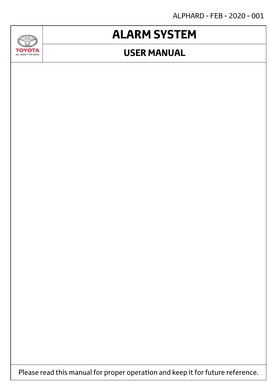ALPHARD - FEB - 2020 - 001

# **ALARM SYSTEM**

SAP

**TOYOTA** 

## **USER MANUAL**



Please read this manual for proper operation and keep it for future reference.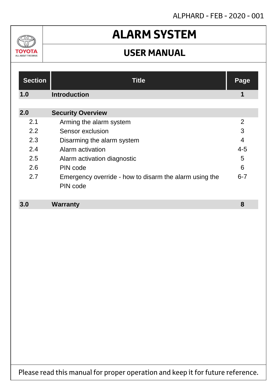### ALPHARD - FEB - 2020 - 001

## $\Delta v$ ΤΟΥΟΤΑ ALL ABOUT THE DRIVE

# **ALARM SYSTEM**

## **USER MANUAL**

| <b>Section</b> | <b>Title</b>                                                       | <b>Page</b>    |
|----------------|--------------------------------------------------------------------|----------------|
| 1.0            | <b>Introduction</b>                                                | 1              |
| 2.0            | <b>Security Overview</b>                                           |                |
| 2.1            | Arming the alarm system                                            | $\overline{2}$ |
| 2.2            | Sensor exclusion                                                   | 3              |
| 2.3            | Disarming the alarm system                                         | $\overline{4}$ |
| 2.4            | Alarm activation                                                   | $4 - 5$        |
| 2.5            | Alarm activation diagnostic                                        | 5              |
| 2.6            | PIN code                                                           | 6              |
| 2.7            | Emergency override - how to disarm the alarm using the<br>PIN code | $6 - 7$        |

#### **Warranty 3.0 8**

Please read this manual for proper operation and keep it for future reference.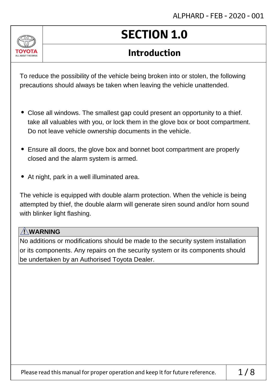

# **SECTION 1.0**

## **Introduction**

To reduce the possibility of the vehicle being broken into or stolen, the following precautions should always be taken when leaving the vehicle unattended.

- Close all windows. The smallest gap could present an opportunity to a thief. take all valuables with you, or lock them in the glove box or boot compartment. Do not leave vehicle ownership documents in the vehicle.
- Ensure all doors, the glove box and bonnet boot compartment are properly closed and the alarm system is armed.
- At night, park in a well illuminated area.

The vehicle is equipped with double alarm protection. When the vehicle is being attempted by thief, the double alarm will generate siren sound and/or horn sound with blinker light flashing.

### **! WARNING**

No additions or modifications should be made to the security system installation or its components. Any repairs on the security system or its components should be undertaken by an Authorised Toyota Dealer.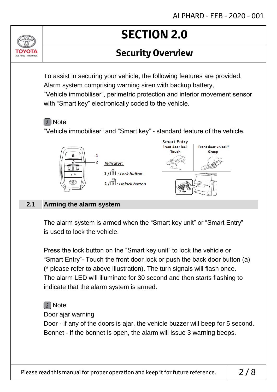## **Security Overview**

To assist in securing your vehicle, the following features are provided. Alarm system comprising warning siren with backup battery, "Vehicle immobiliser", perimetric protection and interior movement sensor with "Smart key" electronically coded to the vehicle.

### $(i)$  Note

ALL AROUT THE DRIV

"Vehicle immobiliser" and "Smart key" - standard feature of the vehicle.



#### **Arming the alarm system 2.1**

The alarm system is armed when the "Smart key unit" or "Smart Entry" is used to lock the vehicle.

Press the lock button on the "Smart key unit" to lock the vehicle or "Smart Entry"- Touch the front door lock or push the back door button (a) (\* please refer to above illustration). The turn signals will flash once. The alarm LED will illuminate for 30 second and then starts flashing to indicate that the alarm system is armed.

## $\lceil i \rceil$  Note

Door ajar warning

Door - if any of the doors is ajar, the vehicle buzzer will beep for 5 second. Bonnet - if the bonnet is open, the alarm will issue 3 warning beeps.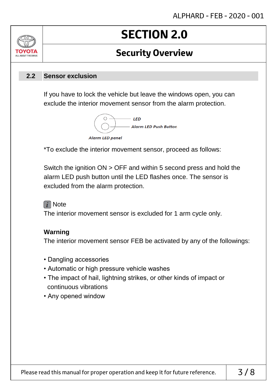## **Security Overview**

#### **Sensor exclusion 2.2**

ALL AROUT THE DRIV

If you have to lock the vehicle but leave the windows open, you can exclude the interior movement sensor from the alarm protection.



\*To exclude the interior movement sensor, proceed as follows:

Switch the ignition ON > OFF and within 5 second press and hold the alarm LED push button until the LED flashes once. The sensor is excluded from the alarm protection.

### $\lceil i \rceil$  Note

The interior movement sensor is excluded for 1 arm cycle only.

#### **Warning**

The interior movement sensor FEB be activated by any of the followings:

- Dangling accessories
- Automatic or high pressure vehicle washes
- The impact of hail, lightning strikes, or other kinds of impact or continuous vibrations
- Any opened window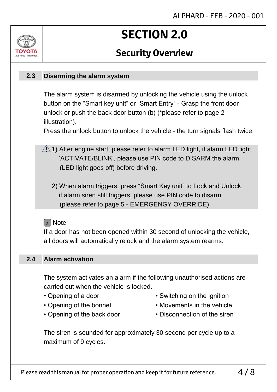## **Security Overview**

#### **Disarming the alarm system 2.3**

ALL AROUT THE DRIV

The alarm system is disarmed by unlocking the vehicle using the unlock button on the "Smart key unit" or "Smart Entry" - Grasp the front door unlock or push the back door button (b) (\*please refer to page 2 illustration).

Press the unlock button to unlock the vehicle - the turn signals flash twice.

- $\sqrt{N}$  1) After engine start, please refer to alarm LED light, if alarm LED light 'ACTIVATE/BLINK', please use PIN code to DISARM the alarm (LED light goes off) before driving.
	- 2) When alarm triggers, press "Smart Key unit" to Lock and Unlock, if alarm siren still triggers, please use PIN code to disarm (please refer to page 5 - EMERGENGY OVERRIDE).

#### $\lceil i \rceil$  Note

If a door has not been opened within 30 second of unlocking the vehicle, all doors will automatically relock and the alarm system rearms.

#### **Alarm activation 2.4**

The system activates an alarm if the following unauthorised actions are carried out when the vehicle is locked.

- 
- 
- Opening of a door Switching on the ignition
- Opening of the bonnet Movements in the vehicle
- 
- Opening of the back door Disconnection of the siren

The siren is sounded for approximately 30 second per cycle up to a maximum of 9 cycles.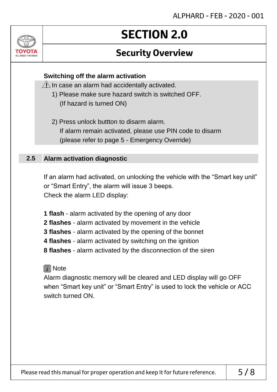## **Security Overview**

### **Switching off the alarm activation**

 $\sqrt{1}$  In case an alarm had accidentally activated.

- 1) Please make sure hazard switch is switched OFF. (If hazard is turned ON)
- 2) Press unlock buttton to disarm alarm. If alarm remain activated, please use PIN code to disarm (please refer to page 5 - Emergency Override)

#### **Alarm activation diagnostic 2.5**

**ALL AROUT THE DRIV** 

If an alarm had activated, on unlocking the vehicle with the "Smart key unit" or "Smart Entry", the alarm will issue 3 beeps. Check the alarm LED display:

**1 flash** - alarm activated by the opening of any door

- **2 flashes** alarm activated by movement in the vehicle
- **3 flashes** alarm activated by the opening of the bonnet
- **4 flashes** alarm activated by switching on the ignition
- **8 flashes** alarm activated by the disconnection of the siren

### $\lceil i \rceil$  Note

Alarm diagnostic memory will be cleared and LED display will go OFF when "Smart key unit" or "Smart Entry" is used to lock the vehicle or ACC switch turned ON.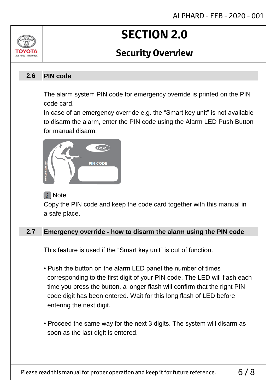## **Security Overview**

#### **PIN code 2.6**

ALL AROUT THE DRIV

The alarm system PIN code for emergency override is printed on the PIN code card.

In case of an emergency override e.g. the "Smart key unit" is not available to disarm the alarm, enter the PIN code using the Alarm LED Push Button for manual disarm.



### $\lceil i \rceil$  Note

Copy the PIN code and keep the code card together with this manual in a safe place.

#### **Emergency override - how to disarm the alarm using the PIN code 2.7**

This feature is used if the "Smart key unit" is out of function.

- Push the button on the alarm LED panel the number of times corresponding to the first digit of your PIN code. The LED will flash each time you press the button, a longer flash will confirm that the right PIN code digit has been entered. Wait for this long flash of LED before entering the next digit.
- Proceed the same way for the next 3 digits. The system will disarm as soon as the last digit is entered.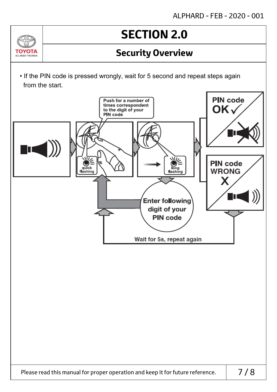## **Security Overview**

• If the PIN code is pressed wrongly, wait for 5 second and repeat steps again from the start.

 $\Delta v$ 

ΤΟΥΩΤΑ ALL ABOUT THE DRIVE